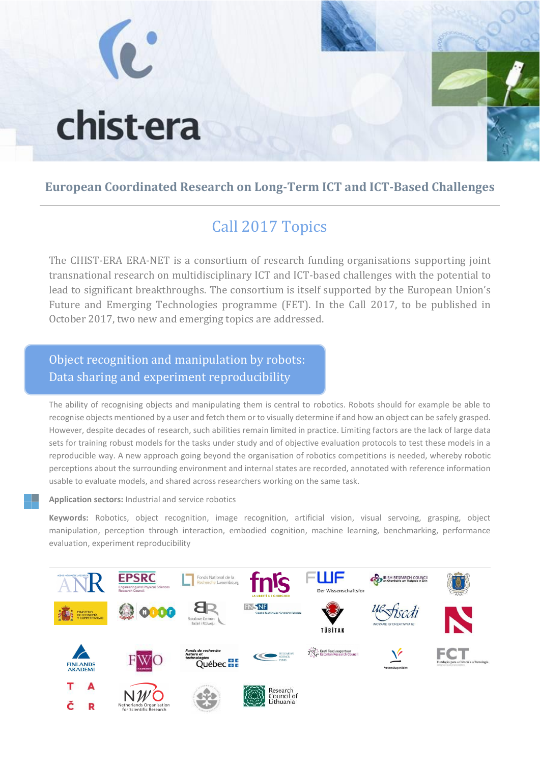

#### **European Coordinated Research on Long-Term ICT and ICT-Based Challenges**

# Call 2017 Topics

The CHIST-ERA ERA-NET is a consortium of research funding organisations supporting joint transnational research on multidisciplinary ICT and ICT-based challenges with the potential to lead to significant breakthroughs. The consortium is itself supported by the European Union's Future and Emerging Technologies programme (FET). In the Call 2017, to be published in October 2017, two new and emerging topics are addressed.

### Object recognition and manipulation by robots: Data sharing and experiment reproducibility

The ability of recognising objects and manipulating them is central to robotics. Robots should for example be able to recognise objects mentioned by a user and fetch them or to visually determine if and how an object can be safely grasped. However, despite decades of research, such abilities remain limited in practice. Limiting factors are the lack of large data sets for training robust models for the tasks under study and of objective evaluation protocols to test these models in a reproducible way. A new approach going beyond the organisation of robotics competitions is needed, whereby robotic perceptions about the surrounding environment and internal states are recorded, annotated with reference information usable to evaluate models, and shared across researchers working on the same task.

**Application sectors:** Industrial and service robotics

**Keywords:** Robotics, object recognition, image recognition, artificial vision, visual servoing, grasping, object manipulation, perception through interaction, embodied cognition, machine learning, benchmarking, performance evaluation, experiment reproducibility